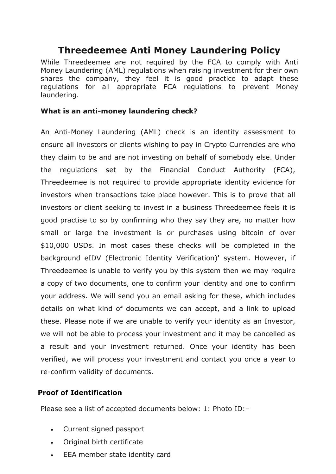## **Threedeemee Anti Money Laundering Policy**

While Threedeemee are not required by the FCA to comply with Anti Money Laundering (AML) regulations when raising investment for their own shares the company, they feel it is good practice to adapt these regulations for all appropriate FCA regulations to prevent Money laundering.

## **What is an anti-money laundering check?**

An Anti-Money Laundering (AML) check is an identity assessment to ensure all investors or clients wishing to pay in Crypto Currencies are who they claim to be and are not investing on behalf of somebody else. Under the regulations set by the Financial Conduct Authority (FCA), Threedeemee is not required to provide appropriate identity evidence for investors when transactions take place however. This is to prove that all investors or client seeking to invest in a business Threedeemee feels it is good practise to so by confirming who they say they are, no matter how small or large the investment is or purchases using bitcoin of over \$10,000 USDs. In most cases these checks will be completed in the background eIDV (Electronic Identity Verification)' system. However, if Threedeemee is unable to verify you by this system then we may require a copy of two documents, one to confirm your identity and one to confirm your address. We will send you an email asking for these, which includes details on what kind of documents we can accept, and a link to upload these. Please note if we are unable to verify your identity as an Investor, we will not be able to process your investment and it may be cancelled as a result and your investment returned. Once your identity has been verified, we will process your investment and contact you once a year to re-confirm validity of documents.

## **Proof of Identification**

Please see a list of accepted documents below: 1: Photo ID:–

- Current signed passport
- Original birth certificate
- EEA member state identity card